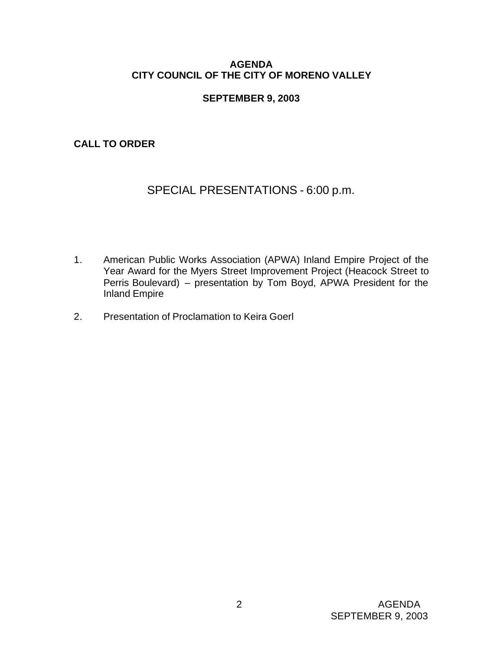# **AGENDA CITY COUNCIL OF THE CITY OF MORENO VALLEY**

# **SEPTEMBER 9, 2003**

**CALL TO ORDER**

# SPECIAL PRESENTATIONS - 6:00 p.m.

- 1. American Public Works Association (APWA) Inland Empire Project of the Year Award for the Myers Street Improvement Project (Heacock Street to Perris Boulevard) – presentation by Tom Boyd, APWA President for the Inland Empire
- 2. Presentation of Proclamation to Keira Goerl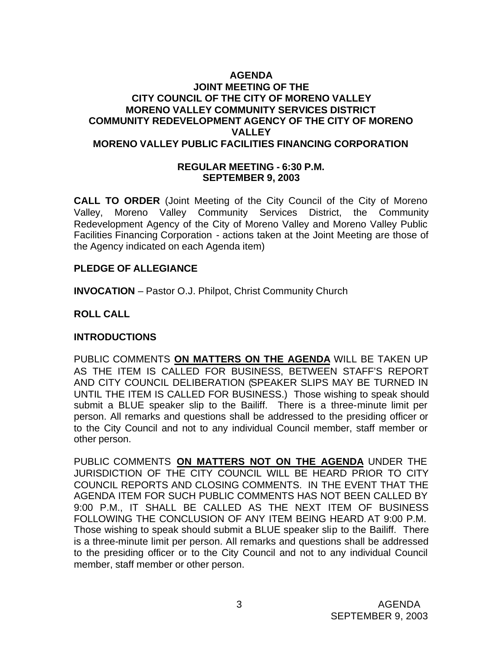# **AGENDA JOINT MEETING OF THE CITY COUNCIL OF THE CITY OF MORENO VALLEY MORENO VALLEY COMMUNITY SERVICES DISTRICT COMMUNITY REDEVELOPMENT AGENCY OF THE CITY OF MORENO VALLEY MORENO VALLEY PUBLIC FACILITIES FINANCING CORPORATION**

### **REGULAR MEETING - 6:30 P.M. SEPTEMBER 9, 2003**

**CALL TO ORDER** (Joint Meeting of the City Council of the City of Moreno Valley, Moreno Valley Community Services District, the Community Redevelopment Agency of the City of Moreno Valley and Moreno Valley Public Facilities Financing Corporation - actions taken at the Joint Meeting are those of the Agency indicated on each Agenda item)

# **PLEDGE OF ALLEGIANCE**

**INVOCATION** – Pastor O.J. Philpot, Christ Community Church

# **ROLL CALL**

# **INTRODUCTIONS**

PUBLIC COMMENTS **ON MATTERS ON THE AGENDA** WILL BE TAKEN UP AS THE ITEM IS CALLED FOR BUSINESS, BETWEEN STAFF'S REPORT AND CITY COUNCIL DELIBERATION (SPEAKER SLIPS MAY BE TURNED IN UNTIL THE ITEM IS CALLED FOR BUSINESS.) Those wishing to speak should submit a BLUE speaker slip to the Bailiff. There is a three-minute limit per person. All remarks and questions shall be addressed to the presiding officer or to the City Council and not to any individual Council member, staff member or other person.

PUBLIC COMMENTS **ON MATTERS NOT ON THE AGENDA** UNDER THE JURISDICTION OF THE CITY COUNCIL WILL BE HEARD PRIOR TO CITY COUNCIL REPORTS AND CLOSING COMMENTS. IN THE EVENT THAT THE AGENDA ITEM FOR SUCH PUBLIC COMMENTS HAS NOT BEEN CALLED BY 9:00 P.M., IT SHALL BE CALLED AS THE NEXT ITEM OF BUSINESS FOLLOWING THE CONCLUSION OF ANY ITEM BEING HEARD AT 9:00 P.M. Those wishing to speak should submit a BLUE speaker slip to the Bailiff. There is a three-minute limit per person. All remarks and questions shall be addressed to the presiding officer or to the City Council and not to any individual Council member, staff member or other person.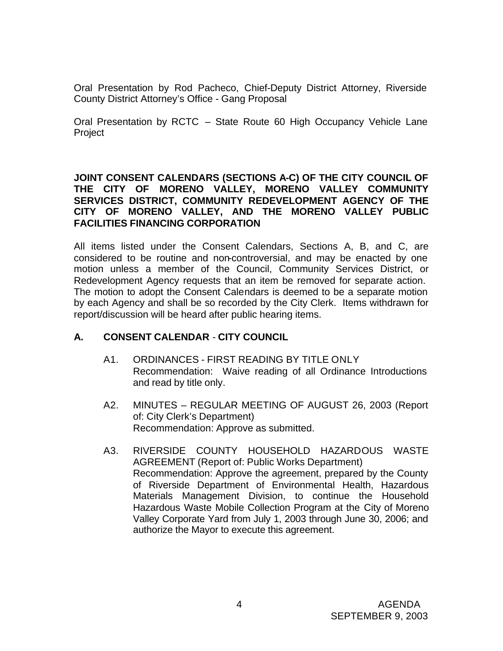Oral Presentation by Rod Pacheco, Chief-Deputy District Attorney, Riverside County District Attorney's Office - Gang Proposal

Oral Presentation by RCTC – State Route 60 High Occupancy Vehicle Lane Project

**JOINT CONSENT CALENDARS (SECTIONS A-C) OF THE CITY COUNCIL OF THE CITY OF MORENO VALLEY, MORENO VALLEY COMMUNITY SERVICES DISTRICT, COMMUNITY REDEVELOPMENT AGENCY OF THE CITY OF MORENO VALLEY, AND THE MORENO VALLEY PUBLIC FACILITIES FINANCING CORPORATION**

All items listed under the Consent Calendars, Sections A, B, and C, are considered to be routine and non-controversial, and may be enacted by one motion unless a member of the Council, Community Services District, or Redevelopment Agency requests that an item be removed for separate action. The motion to adopt the Consent Calendars is deemed to be a separate motion by each Agency and shall be so recorded by the City Clerk. Items withdrawn for report/discussion will be heard after public hearing items.

# **A. CONSENT CALENDAR** - **CITY COUNCIL**

- A1. ORDINANCES FIRST READING BY TITLE ONLY Recommendation: Waive reading of all Ordinance Introductions and read by title only.
- A2. MINUTES REGULAR MEETING OF AUGUST 26, 2003 (Report of: City Clerk's Department) Recommendation: Approve as submitted.
- A3. RIVERSIDE COUNTY HOUSEHOLD HAZARDOUS WASTE AGREEMENT (Report of: Public Works Department) Recommendation: Approve the agreement, prepared by the County of Riverside Department of Environmental Health, Hazardous Materials Management Division, to continue the Household Hazardous Waste Mobile Collection Program at the City of Moreno Valley Corporate Yard from July 1, 2003 through June 30, 2006; and authorize the Mayor to execute this agreement.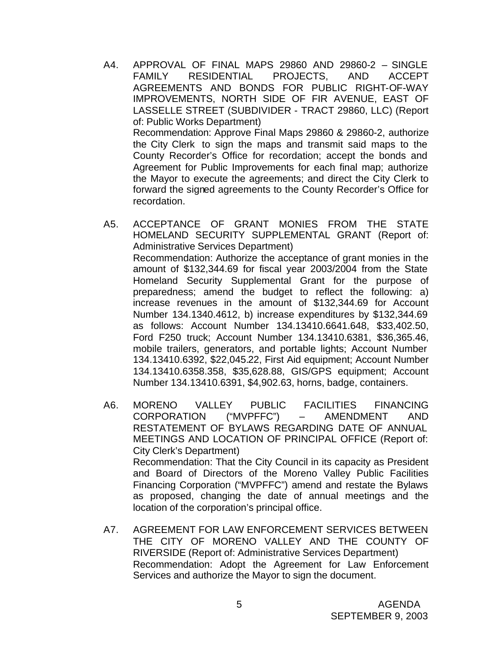- A4. APPROVAL OF FINAL MAPS 29860 AND 29860-2 SINGLE FAMILY RESIDENTIAL PROJECTS, AND ACCEPT AGREEMENTS AND BONDS FOR PUBLIC RIGHT-OF-WAY IMPROVEMENTS, NORTH SIDE OF FIR AVENUE, EAST OF LASSELLE STREET (SUBDIVIDER - TRACT 29860, LLC) (Report of: Public Works Department) Recommendation: Approve Final Maps 29860 & 29860-2, authorize the City Clerk to sign the maps and transmit said maps to the County Recorder's Office for recordation; accept the bonds and Agreement for Public Improvements for each final map; authorize the Mayor to execute the agreements; and direct the City Clerk to forward the signed agreements to the County Recorder's Office for recordation.
- A5. ACCEPTANCE OF GRANT MONIES FROM THE STATE HOMELAND SECURITY SUPPLEMENTAL GRANT (Report of: Administrative Services Department) Recommendation: Authorize the acceptance of grant monies in the amount of \$132,344.69 for fiscal year 2003/2004 from the State Homeland Security Supplemental Grant for the purpose of preparedness; amend the budget to reflect the following: a) increase revenues in the amount of \$132,344.69 for Account Number 134.1340.4612, b) increase expenditures by \$132,344.69 as follows: Account Number 134.13410.6641.648, \$33,402.50, Ford F250 truck; Account Number 134.13410.6381, \$36,365.46, mobile trailers, generators, and portable lights; Account Number 134.13410.6392, \$22,045.22, First Aid equipment; Account Number 134.13410.6358.358, \$35,628.88, GIS/GPS equipment; Account Number 134.13410.6391, \$4,902.63, horns, badge, containers.
- A6. MORENO VALLEY PUBLIC FACILITIES FINANCING CORPORATION ("MVPFFC") – AMENDMENT AND RESTATEMENT OF BYLAWS REGARDING DATE OF ANNUAL MEETINGS AND LOCATION OF PRINCIPAL OFFICE (Report of: City Clerk's Department) Recommendation: That the City Council in its capacity as President and Board of Directors of the Moreno Valley Public Facilities Financing Corporation ("MVPFFC") amend and restate the Bylaws as proposed, changing the date of annual meetings and the location of the corporation's principal office.
- A7. AGREEMENT FOR LAW ENFORCEMENT SERVICES BETWEEN THE CITY OF MORENO VALLEY AND THE COUNTY OF RIVERSIDE (Report of: Administrative Services Department) Recommendation: Adopt the Agreement for Law Enforcement Services and authorize the Mayor to sign the document.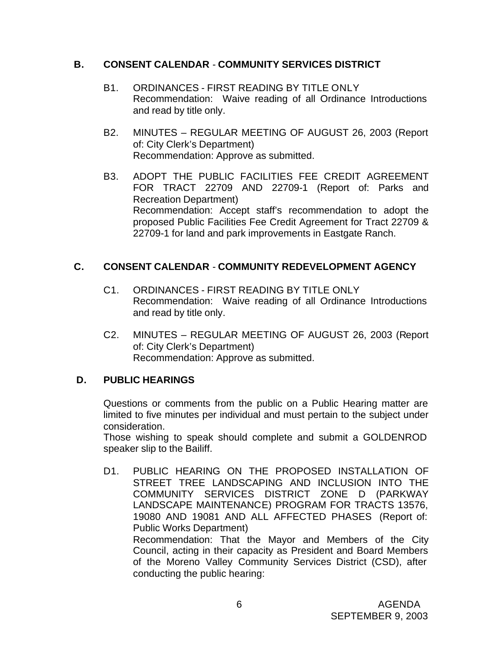# **B. CONSENT CALENDAR** - **COMMUNITY SERVICES DISTRICT**

- B1. ORDINANCES FIRST READING BY TITLE ONLY Recommendation: Waive reading of all Ordinance Introductions and read by title only.
- B2. MINUTES REGULAR MEETING OF AUGUST 26, 2003 (Report of: City Clerk's Department) Recommendation: Approve as submitted.
- B3. ADOPT THE PUBLIC FACILITIES FEE CREDIT AGREEMENT FOR TRACT 22709 AND 22709-1 (Report of: Parks and Recreation Department) Recommendation: Accept staff's recommendation to adopt the proposed Public Facilities Fee Credit Agreement for Tract 22709 & 22709-1 for land and park improvements in Eastgate Ranch.

# **C. CONSENT CALENDAR** - **COMMUNITY REDEVELOPMENT AGENCY**

- C1. ORDINANCES FIRST READING BY TITLE ONLY Recommendation: Waive reading of all Ordinance Introductions and read by title only.
- C2. MINUTES REGULAR MEETING OF AUGUST 26, 2003 (Report of: City Clerk's Department) Recommendation: Approve as submitted.

# **D. PUBLIC HEARINGS**

Questions or comments from the public on a Public Hearing matter are limited to five minutes per individual and must pertain to the subject under consideration.

Those wishing to speak should complete and submit a GOLDENROD speaker slip to the Bailiff.

D1. PUBLIC HEARING ON THE PROPOSED INSTALLATION OF STREET TREE LANDSCAPING AND INCLUSION INTO THE COMMUNITY SERVICES DISTRICT ZONE D (PARKWAY LANDSCAPE MAINTENANCE) PROGRAM FOR TRACTS 13576, 19080 AND 19081 AND ALL AFFECTED PHASES (Report of: Public Works Department) Recommendation: That the Mayor and Members of the City

Council, acting in their capacity as President and Board Members of the Moreno Valley Community Services District (CSD), after conducting the public hearing: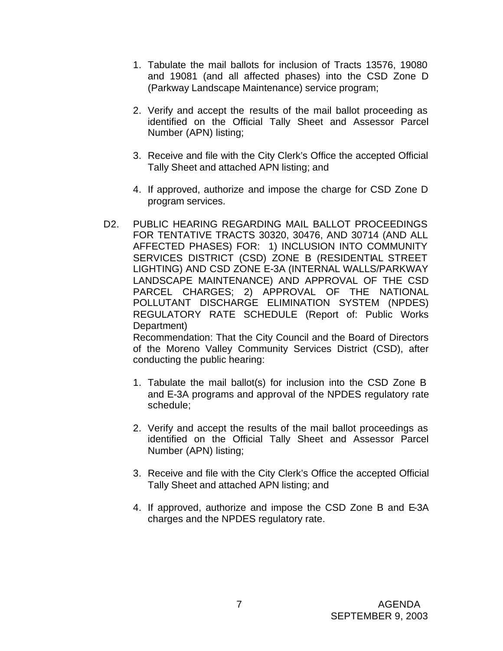- 1. Tabulate the mail ballots for inclusion of Tracts 13576, 19080 and 19081 (and all affected phases) into the CSD Zone D (Parkway Landscape Maintenance) service program;
- 2. Verify and accept the results of the mail ballot proceeding as identified on the Official Tally Sheet and Assessor Parcel Number (APN) listing;
- 3. Receive and file with the City Clerk's Office the accepted Official Tally Sheet and attached APN listing; and
- 4. If approved, authorize and impose the charge for CSD Zone D program services.
- D2. PUBLIC HEARING REGARDING MAIL BALLOT PROCEEDINGS FOR TENTATIVE TRACTS 30320, 30476, AND 30714 (AND ALL AFFECTED PHASES) FOR: 1) INCLUSION INTO COMMUNITY SERVICES DISTRICT (CSD) ZONE B (RESIDENTIAL STREET LIGHTING) AND CSD ZONE E-3A (INTERNAL WALLS/PARKWAY LANDSCAPE MAINTENANCE) AND APPROVAL OF THE CSD PARCEL CHARGES; 2) APPROVAL OF THE NATIONAL POLLUTANT DISCHARGE ELIMINATION SYSTEM (NPDES) REGULATORY RATE SCHEDULE (Report of: Public Works Department)

Recommendation: That the City Council and the Board of Directors of the Moreno Valley Community Services District (CSD), after conducting the public hearing:

- 1. Tabulate the mail ballot(s) for inclusion into the CSD Zone B and E-3A programs and approval of the NPDES regulatory rate schedule;
- 2. Verify and accept the results of the mail ballot proceedings as identified on the Official Tally Sheet and Assessor Parcel Number (APN) listing;
- 3. Receive and file with the City Clerk's Office the accepted Official Tally Sheet and attached APN listing; and
- 4. If approved, authorize and impose the CSD Zone B and E-3A charges and the NPDES regulatory rate.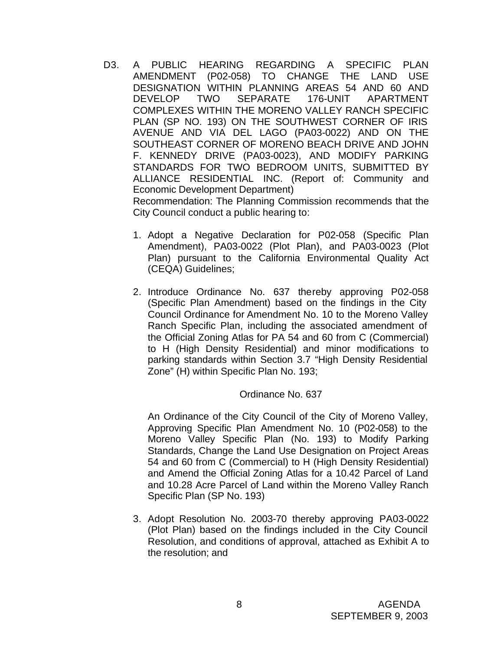- D3. A PUBLIC HEARING REGARDING A SPECIFIC PLAN AMENDMENT (P02-058) TO CHANGE THE LAND USE DESIGNATION WITHIN PLANNING AREAS 54 AND 60 AND DEVELOP TWO SEPARATE 176-UNIT APARTMENT COMPLEXES WITHIN THE MORENO VALLEY RANCH SPECIFIC PLAN (SP NO. 193) ON THE SOUTHWEST CORNER OF IRIS AVENUE AND VIA DEL LAGO (PA03-0022) AND ON THE SOUTHEAST CORNER OF MORENO BEACH DRIVE AND JOHN F. KENNEDY DRIVE (PA03-0023), AND MODIFY PARKING STANDARDS FOR TWO BEDROOM UNITS, SUBMITTED BY ALLIANCE RESIDENTIAL INC. (Report of: Community and Economic Development Department) Recommendation: The Planning Commission recommends that the City Council conduct a public hearing to:
	- 1. Adopt a Negative Declaration for P02-058 (Specific Plan Amendment), PA03-0022 (Plot Plan), and PA03-0023 (Plot Plan) pursuant to the California Environmental Quality Act (CEQA) Guidelines;
	- 2. Introduce Ordinance No. 637 thereby approving P02-058 (Specific Plan Amendment) based on the findings in the City Council Ordinance for Amendment No. 10 to the Moreno Valley Ranch Specific Plan, including the associated amendment of the Official Zoning Atlas for PA 54 and 60 from C (Commercial) to H (High Density Residential) and minor modifications to parking standards within Section 3.7 "High Density Residential Zone" (H) within Specific Plan No. 193;

#### Ordinance No. 637

An Ordinance of the City Council of the City of Moreno Valley, Approving Specific Plan Amendment No. 10 (P02-058) to the Moreno Valley Specific Plan (No. 193) to Modify Parking Standards, Change the Land Use Designation on Project Areas 54 and 60 from C (Commercial) to H (High Density Residential) and Amend the Official Zoning Atlas for a 10.42 Parcel of Land and 10.28 Acre Parcel of Land within the Moreno Valley Ranch Specific Plan (SP No. 193)

3. Adopt Resolution No. 2003-70 thereby approving PA03-0022 (Plot Plan) based on the findings included in the City Council Resolution, and conditions of approval, attached as Exhibit A to the resolution; and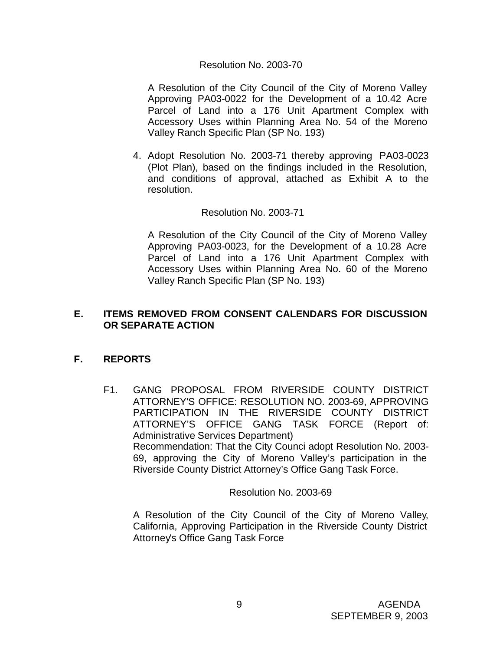#### Resolution No. 2003-70

A Resolution of the City Council of the City of Moreno Valley Approving PA03-0022 for the Development of a 10.42 Acre Parcel of Land into a 176 Unit Apartment Complex with Accessory Uses within Planning Area No. 54 of the Moreno Valley Ranch Specific Plan (SP No. 193)

4. Adopt Resolution No. 2003-71 thereby approving PA03-0023 (Plot Plan), based on the findings included in the Resolution, and conditions of approval, attached as Exhibit A to the resolution.

#### Resolution No. 2003-71

A Resolution of the City Council of the City of Moreno Valley Approving PA03-0023, for the Development of a 10.28 Acre Parcel of Land into a 176 Unit Apartment Complex with Accessory Uses within Planning Area No. 60 of the Moreno Valley Ranch Specific Plan (SP No. 193)

# **E. ITEMS REMOVED FROM CONSENT CALENDARS FOR DISCUSSION OR SEPARATE ACTION**

# **F. REPORTS**

F1. GANG PROPOSAL FROM RIVERSIDE COUNTY DISTRICT ATTORNEY'S OFFICE: RESOLUTION NO. 2003-69, APPROVING PARTICIPATION IN THE RIVERSIDE COUNTY DISTRICT ATTORNEY'S OFFICE GANG TASK FORCE (Report of: Administrative Services Department) Recommendation: That the City Counci adopt Resolution No. 2003- 69, approving the City of Moreno Valley's participation in the Riverside County District Attorney's Office Gang Task Force.

Resolution No. 2003-69

A Resolution of the City Council of the City of Moreno Valley, California, Approving Participation in the Riverside County District Attorney's Office Gang Task Force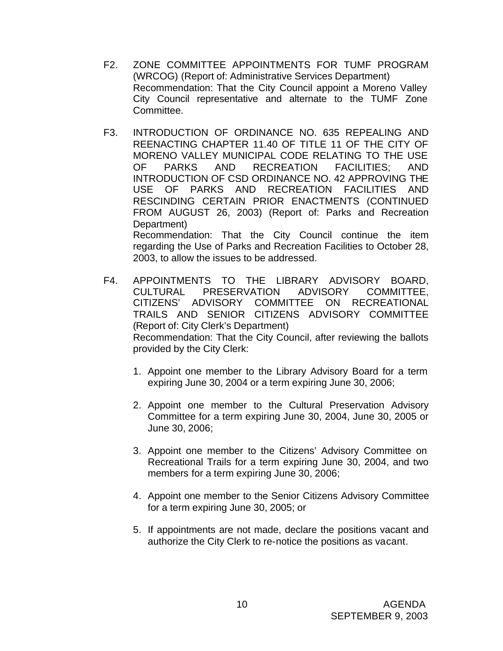- F2. ZONE COMMITTEE APPOINTMENTS FOR TUMF PROGRAM (WRCOG) (Report of: Administrative Services Department) Recommendation: That the City Council appoint a Moreno Valley City Council representative and alternate to the TUMF Zone Committee.
- F3. INTRODUCTION OF ORDINANCE NO. 635 REPEALING AND REENACTING CHAPTER 11.40 OF TITLE 11 OF THE CITY OF MORENO VALLEY MUNICIPAL CODE RELATING TO THE USE OF PARKS AND RECREATION FACILITIES; AND INTRODUCTION OF CSD ORDINANCE NO. 42 APPROVING THE USE OF PARKS AND RECREATION FACILITIES AND RESCINDING CERTAIN PRIOR ENACTMENTS (CONTINUED FROM AUGUST 26, 2003) (Report of: Parks and Recreation Department) Recommendation: That the City Council continue the item regarding the Use of Parks and Recreation Facilities to October 28,

2003, to allow the issues to be addressed.

- F4. APPOINTMENTS TO THE LIBRARY ADVISORY BOARD,<br>CULTURAL PRESERVATION ADVISORY COMMITTEE, PRESERVATION ADVISORY COMMITTEE. CITIZENS' ADVISORY COMMITTEE ON RECREATIONAL TRAILS AND SENIOR CITIZENS ADVISORY COMMITTEE (Report of: City Clerk's Department) Recommendation: That the City Council, after reviewing the ballots provided by the City Clerk:
	- 1. Appoint one member to the Library Advisory Board for a term expiring June 30, 2004 or a term expiring June 30, 2006;
	- 2. Appoint one member to the Cultural Preservation Advisory Committee for a term expiring June 30, 2004, June 30, 2005 or June 30, 2006;
	- 3. Appoint one member to the Citizens' Advisory Committee on Recreational Trails for a term expiring June 30, 2004, and two members for a term expiring June 30, 2006;
	- 4. Appoint one member to the Senior Citizens Advisory Committee for a term expiring June 30, 2005; or
	- 5. If appointments are not made, declare the positions vacant and authorize the City Clerk to re-notice the positions as vacant.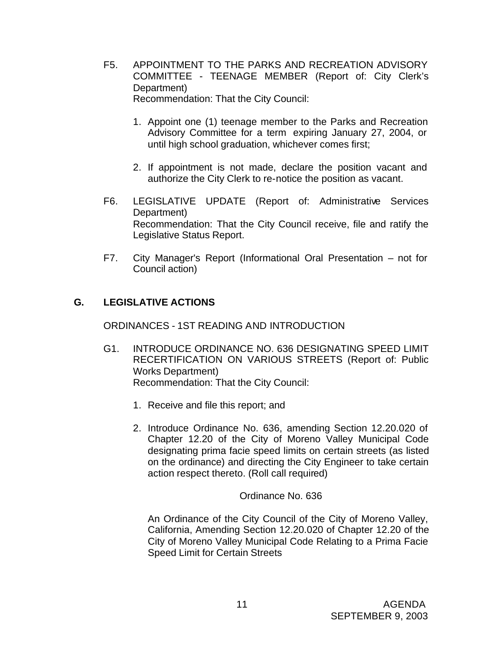- F5. APPOINTMENT TO THE PARKS AND RECREATION ADVISORY COMMITTEE - TEENAGE MEMBER (Report of: City Clerk's Department) Recommendation: That the City Council:
	- 1. Appoint one (1) teenage member to the Parks and Recreation Advisory Committee for a term expiring January 27, 2004, or until high school graduation, whichever comes first;
	- 2. If appointment is not made, declare the position vacant and authorize the City Clerk to re-notice the position as vacant.
- F6. LEGISLATIVE UPDATE (Report of: Administrative Services Department) Recommendation: That the City Council receive, file and ratify the Legislative Status Report.
- F7. City Manager's Report (Informational Oral Presentation not for Council action)

# **G. LEGISLATIVE ACTIONS**

ORDINANCES - 1ST READING AND INTRODUCTION

- G1. INTRODUCE ORDINANCE NO. 636 DESIGNATING SPEED LIMIT RECERTIFICATION ON VARIOUS STREETS (Report of: Public Works Department) Recommendation: That the City Council:
	- 1. Receive and file this report; and
	- 2. Introduce Ordinance No. 636, amending Section 12.20.020 of Chapter 12.20 of the City of Moreno Valley Municipal Code designating prima facie speed limits on certain streets (as listed on the ordinance) and directing the City Engineer to take certain action respect thereto. (Roll call required)

Ordinance No. 636

An Ordinance of the City Council of the City of Moreno Valley, California, Amending Section 12.20.020 of Chapter 12.20 of the City of Moreno Valley Municipal Code Relating to a Prima Facie Speed Limit for Certain Streets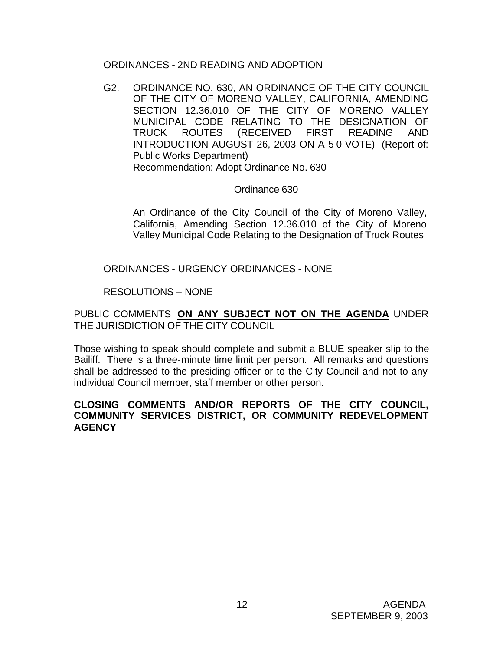# ORDINANCES - 2ND READING AND ADOPTION

G2. ORDINANCE NO. 630, AN ORDINANCE OF THE CITY COUNCIL OF THE CITY OF MORENO VALLEY, CALIFORNIA, AMENDING SECTION 12.36.010 OF THE CITY OF MORENO VALLEY MUNICIPAL CODE RELATING TO THE DESIGNATION OF TRUCK ROUTES (RECEIVED FIRST READING AND INTRODUCTION AUGUST 26, 2003 ON A 5-0 VOTE) (Report of: Public Works Department) Recommendation: Adopt Ordinance No. 630

# Ordinance 630

An Ordinance of the City Council of the City of Moreno Valley, California, Amending Section 12.36.010 of the City of Moreno Valley Municipal Code Relating to the Designation of Truck Routes

ORDINANCES - URGENCY ORDINANCES - NONE

RESOLUTIONS – NONE

PUBLIC COMMENTS **ON ANY SUBJECT NOT ON THE AGENDA** UNDER THE JURISDICTION OF THE CITY COUNCIL

Those wishing to speak should complete and submit a BLUE speaker slip to the Bailiff. There is a three-minute time limit per person. All remarks and questions shall be addressed to the presiding officer or to the City Council and not to any individual Council member, staff member or other person.

# **CLOSING COMMENTS AND/OR REPORTS OF THE CITY COUNCIL, COMMUNITY SERVICES DISTRICT, OR COMMUNITY REDEVELOPMENT AGENCY**